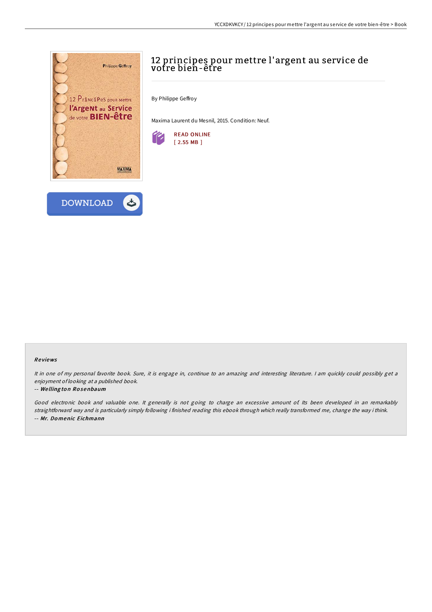



# 12 principes pour mettre l'argent au service de votre bien-être

By Philippe Geffroy

Maxima Laurent du Mesnil, 2015. Condition: Neuf.



#### Re views

It in one of my personal favorite book. Sure, it is engage in, continue to an amazing and interesting literature. <sup>I</sup> am quickly could possibly get <sup>a</sup> enjoyment of looking at <sup>a</sup> published book.

#### -- We lling to <sup>n</sup> Ro senbaum

Good electronic book and valuable one. It generally is not going to charge an excessive amount of. Its been developed in an remarkably straightforward way and is particularly simply following i finished reading this ebook through which really transformed me, change the way i think. -- Mr. Do menic Eichmann